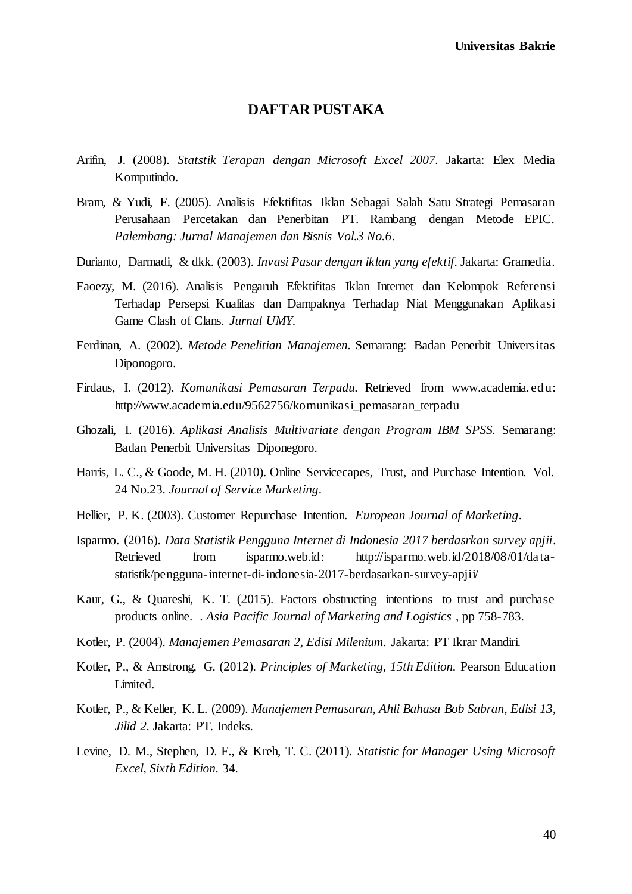## **DAFTAR PUSTAKA**

- Arifin, J. (2008). *Statstik Terapan dengan Microsoft Excel 2007.* Jakarta: Elex Media Komputindo.
- Bram, & Yudi, F. (2005). Analisis Efektifitas Iklan Sebagai Salah Satu Strategi Pemasaran Perusahaan Percetakan dan Penerbitan PT. Rambang dengan Metode EPIC. *Palembang: Jurnal Manajemen dan Bisnis Vol.3 No.6*.
- Durianto, Darmadi, & dkk. (2003). *Invasi Pasar dengan iklan yang efektif.* Jakarta: Gramedia.
- Faoezy, M. (2016). Analisis Pengaruh Efektifitas Iklan Internet dan Kelompok Referensi Terhadap Persepsi Kualitas dan Dampaknya Terhadap Niat Menggunakan Aplikasi Game Clash of Clans. *Jurnal UMY*.
- Ferdinan, A. (2002). *Metode Penelitian Manajemen.* Semarang: Badan Penerbit Universitas Diponogoro.
- Firdaus, I. (2012). *Komunikasi Pemasaran Terpadu.* Retrieved from www.academia.edu: http://www.academia.edu/9562756/komunikasi\_pemasaran\_terpadu
- Ghozali, I. (2016). *Aplikasi Analisis Multivariate dengan Program IBM SPSS.* Semarang: Badan Penerbit Universitas Diponegoro.
- Harris, L. C., & Goode, M. H. (2010). Online Servicecapes, Trust, and Purchase Intention. Vol. 24 No.23. *Journal of Service Marketing*.
- Hellier, P. K. (2003). Customer Repurchase Intention. *European Journal of Marketing*.
- Isparmo. (2016). *Data Statistik Pengguna Internet di Indonesia 2017 berdasrkan survey apjii*. Retrieved from isparmo.web.id: http://isparmo.web.id/2018/08/01/datastatistik/pengguna-internet-di-indonesia-2017-berdasarkan-survey-apjii/
- Kaur, G., & Quareshi, K. T. (2015). Factors obstructing intentions to trust and purchase products online. . *Asia Pacific Journal of Marketing and Logistics* , pp 758-783.
- Kotler, P. (2004). *Manajemen Pemasaran 2, Edisi Milenium.* Jakarta: PT Ikrar Mandiri.
- Kotler, P., & Amstrong, G. (2012). *Principles of Marketing, 15th Edition.* Pearson Education Limited.
- Kotler, P., & Keller, K. L. (2009). *Manajemen Pemasaran, Ahli Bahasa Bob Sabran, Edisi 13, Jilid 2.* Jakarta: PT. Indeks.
- Levine, D. M., Stephen, D. F., & Kreh, T. C. (2011). *Statistic for Manager Using Microsoft Excel, Sixth Edition.* 34.